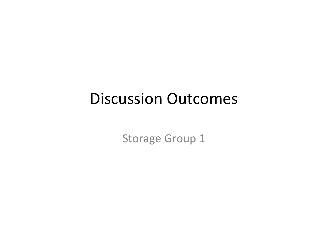## Discussion Outcomes

Storage Group 1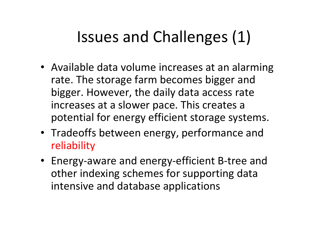# Issues and Challenges (1)

- Available data volume increases at an alarming rate. The storage farm becomes bigger and bigger. However, the daily data access rate increases at a slower pace. This creates a potential for energy efficient storage systems.
- Tradeoffs between energy, performance and reliability
- Energy-aware and energy-efficient B-tree and other indexing schemes for supporting data intensive and database applications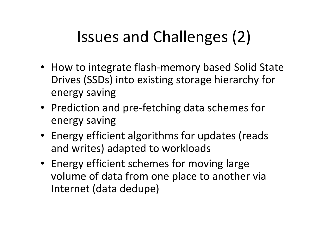# Issues and Challenges (2)

- How to integrate flash-memory based Solid State Drives (SSDs) into existing storage hierarchy for energy saving
- Prediction and pre-fetching data schemes for energy saving
- Energy efficient algorithms for updates (reads and writes) adapted to workloads
- Energy efficient schemes for moving large volume of data from one place to another via Internet (data dedupe)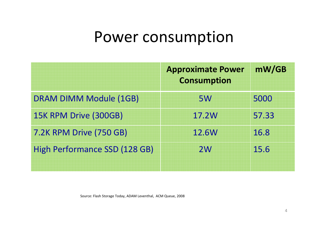## Power consumption

|                                      | <b>Approximate Power</b><br><b>Consumption</b> | mW/GB |
|--------------------------------------|------------------------------------------------|-------|
| <b>DRAM DIMM Module (1GB)</b>        | <b>5W</b>                                      | 5000  |
| 15K RPM Drive (300GB)                | 17.2W                                          | 57.33 |
| <b>7.2K RPM Drive (750 GB)</b>       | 12.6W                                          | 16.8  |
| <b>High Performance SSD (128 GB)</b> | 2W                                             | 15.6  |

Source: Flash Storage Today, ADAM Leventhal, ACM Queue, 2008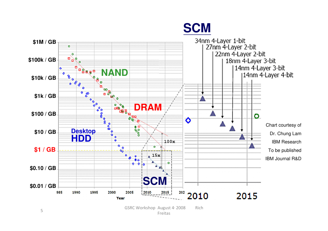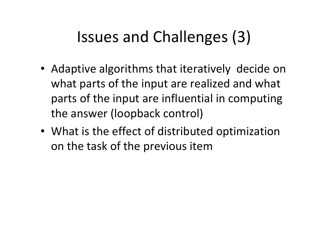# Issues and Challenges (3)

- Adaptive algorithms that iteratively decide on what parts of the input are realized and what parts of the input are influential in computing the answer (loopback control)
- What is the effect of distributed optimization on the task of the previous item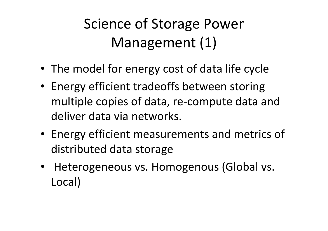Science of Storage Power Management (1)

- The model for energy cost of data life cycle
- Energy efficient tradeoffs between storing multiple copies of data, re-compute data and deliver data via networks.
- Energy efficient measurements and metrics of distributed data storage
- Heterogeneous vs. Homogenous (Global vs. Local)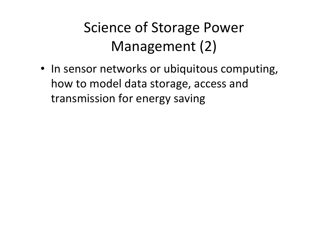## Science of Storage Power Management (2)

• In sensor networks or ubiquitous computing, how to model data storage, access and transmission for energy saving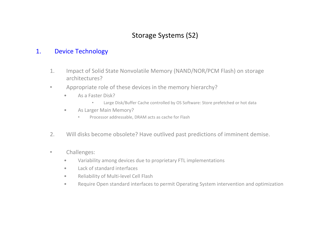### 1. Device Technology

- 1. Impact of Solid State Nonvolatile Memory (NAND/NOR/PCM Flash) on storage architectures?
- $\bullet$  Appropriate role of these devices in the memory hierarchy?
	- • As a Faster Disk?
		- •Large Disk/Buffer Cache controlled by OS Software: Store prefetched or hot data
	- • As Larger Main Memory?
		- •Processor addressable, DRAM acts as cache for Flash
- 2. Will disks become obsolete? Have outlived past predictions of imminent demise.
- $\bullet$  Challenges:
	- $\bullet$ Variability among devices due to proprietary FTL implementations
	- •Lack of standard interfaces
	- $\bullet$ Reliability of Multi-level Cell Flash
	- Require Open standard interfaces to permit Operating System intervention and optimization •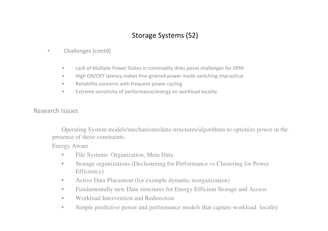- • Challenges (contd)
	- •Lack of Multiple Power States in commodity disks poses challenges for DPM
	- •High ON/OFF latency makes fine-grained power mode switching impractical
	- •Reliability concerns with frequent power cycling
	- •Extreme sensitivity of performance/energy on workload locality

#### Research Issues

Operating System models/mechanisms/data structures/algorithms to optimize power in the presence of these constraints.

#### Energy Aware

- $\bullet$ File Systems: Organization, Meta Data
- • Storage organizations (Declustering for Performance vs Clustering for Power Efficiency)
- $\bullet$ Active Data Placement (for example dynamic reorganization)
- •Fundamentally new Data structures for Energy Efficient Storage and Access
- •Workload Intervention and Redirection
- •Simple predictive power and performance models that capture workload locality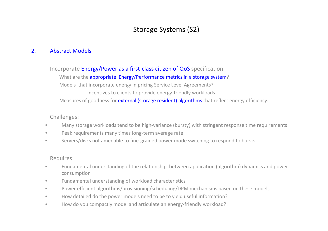#### 2. Abstract Models

Incorporate E<mark>nergy/Power as a first-class citizen of QoS</mark> specification

What are the appropriate Energy/Performance metrics in a storage system? Models that incorporate energy in pricing Service Level Agreements?Incentives to clients to provide energy-friendly workloadsMeasures of goodness for **external (storage resident) algorithms** that reflect energy efficiency.

Challenges:

- •Many storage workloads tend to be high-variance (bursty) with stringent response time requirements
- •Peak requirements many times long-term average rate
- •Servers/disks not amenable to fine-grained power mode switching to respond to bursts

Requires:

- • Fundamental understanding of the relationship between application (algorithm) dynamics and power consumption
- •Fundamental understanding of workload characteristics
- $\bullet$ Power efficient algorithms/provisioning/scheduling/DPM mechanisms based on these models
- •How detailed do the power models need to be to yield useful information?
- •How do you compactly model and articulate an energy-friendly workload?